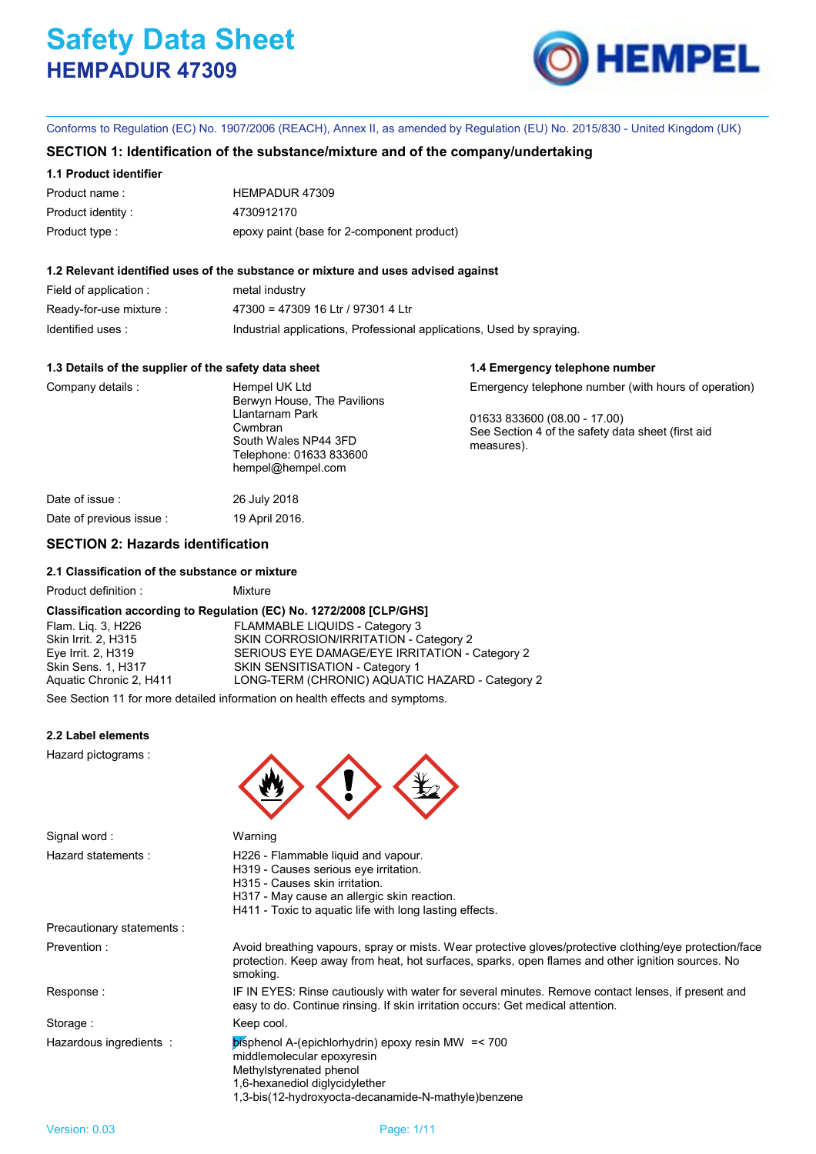# **Safety Data Sheet HEMPADUR 47309**



**1.4 Emergency telephone number**

Conforms to Regulation (EC) No. 1907/2006 (REACH), Annex II, as amended by Regulation (EU) No. 2015/830 - United Kingdom (UK)

# **SECTION 1: Identification of the substance/mixture and of the company/undertaking**

# **1.1 Product identifier**

| Product name:     | HEMPADUR 47309                             |
|-------------------|--------------------------------------------|
| Product identity: | 4730912170                                 |
| Product type :    | epoxy paint (base for 2-component product) |

# **1.2 Relevant identified uses of the substance or mixture and uses advised against**

| Field of application :  | metal industry                                                        |
|-------------------------|-----------------------------------------------------------------------|
| Ready-for-use mixture : | 47300 = 47309 16 Ltr / 97301 4 Ltr                                    |
| Identified uses:        | Industrial applications, Professional applications, Used by spraying. |

# **1.3 Details of the supplier of the safety data sheet**

| Company details          | Hempel UK Ltd<br>Berwyn House, The Pavilions<br>Llantarnam Park<br>Cwmbran<br>South Wales NP44 3FD<br>Telephone: 01633 833600<br>hempel@hempel.com | Emergency telephone number (with hours of operation)<br>01633 833600 (08.00 - 17.00)<br>See Section 4 of the safety data sheet (first aid<br>measures). |
|--------------------------|----------------------------------------------------------------------------------------------------------------------------------------------------|---------------------------------------------------------------------------------------------------------------------------------------------------------|
| Date of issue :          | 26 July 2018                                                                                                                                       |                                                                                                                                                         |
| Date of previous issue : | 19 April 2016.                                                                                                                                     |                                                                                                                                                         |

# **SECTION 2: Hazards identification**

# **2.1 Classification of the substance or mixture**

| Product definition: | Mixture |
|---------------------|---------|

# **Classification according to Regulation (EC) No. 1272/2008 [CLP/GHS]**

Flam. Lig. 3, H226 FLAMMABLE LIQUIDS - Category 3 Skin Irrit. 2, H315 SKIN CORROSION/IRRITATION - Category 2 Eye Irrit. 2, H319 SERIOUS EYE DAMAGE/EYE IRRITATION - Category 2 Skin Sens. 1, H317 SKIN SENSITISATION - Category 1<br>
Aquatic Chronic 2, H411 LONG-TERM (CHRONIC) AQUATIC LONG-TERM (CHRONIC) AQUATIC HAZARD - Category 2

See Section 11 for more detailed information on health effects and symptoms.

# **2.2 Label elements**

Hazard pictograms :



| Signal word:               | Warning                                                                                                                                                                                                                  |  |
|----------------------------|--------------------------------------------------------------------------------------------------------------------------------------------------------------------------------------------------------------------------|--|
| Hazard statements:         | H226 - Flammable liquid and vapour.<br>H319 - Causes serious eye irritation.<br>H315 - Causes skin irritation.<br>H317 - May cause an allergic skin reaction.<br>H411 - Toxic to aquatic life with long lasting effects. |  |
| Precautionary statements : |                                                                                                                                                                                                                          |  |
| Prevention:                | Avoid breathing vapours, spray or mists. Wear protective gloves/protective clothing/eye protection/face<br>protection. Keep away from heat, hot surfaces, sparks, open flames and other ignition sources. No<br>smoking. |  |
| Response:                  | IF IN EYES: Rinse cautiously with water for several minutes. Remove contact lenses, if present and<br>easy to do. Continue rinsing. If skin irritation occurs: Get medical attention.                                    |  |
| Storage:                   | Keep cool.                                                                                                                                                                                                               |  |
| Hazardous ingredients:     | bisphenol A-(epichlorhydrin) epoxy resin MW = < 700<br>middlemolecular epoxyresin<br>Methylstyrenated phenol<br>1,6-hexanediol diglycidylether                                                                           |  |

1,3-bis(12-hydroxyocta-decanamide-N-mathyle)benzene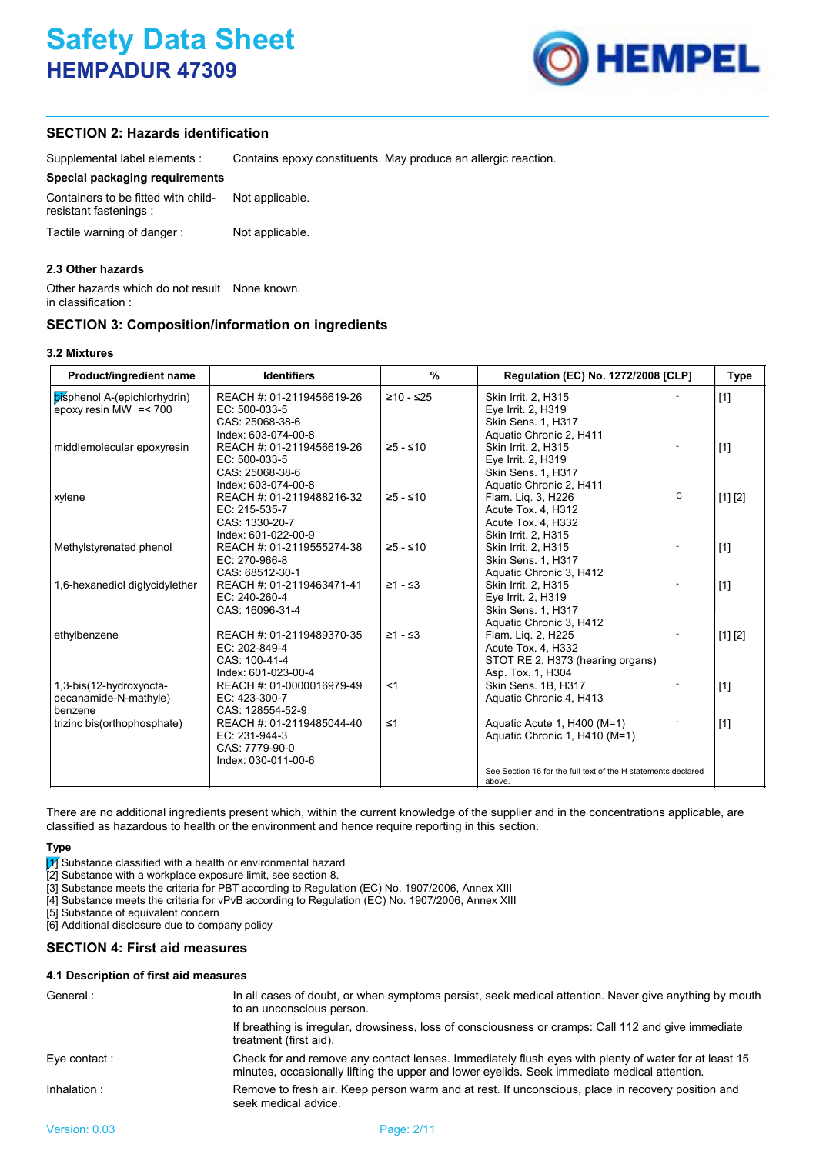

# **SECTION 2: Hazards identification**

Supplemental label elements : Contains epoxy constituents. May produce an allergic reaction.

# **Special packaging requirements**

| Containers to be fitted with child-<br>resistant fastenings: | Not applicable. |  |
|--------------------------------------------------------------|-----------------|--|
| Tactile warning of danger:                                   | Not applicable. |  |

# **2.3 Other hazards**

Other hazards which do not result None known. in classification :

# **SECTION 3: Composition/information on ingredients**

| Product/ingredient name                                     | <b>Identifiers</b>                                                                                          | %          | Regulation (EC) No. 1272/2008 [CLP]                                                                                   |   | Type    |
|-------------------------------------------------------------|-------------------------------------------------------------------------------------------------------------|------------|-----------------------------------------------------------------------------------------------------------------------|---|---------|
| bisphenol A-(epichlorhydrin)<br>epoxy resin MW $=< 700$     | REACH #: 01-2119456619-26<br>$EC: 500-033-5$<br>CAS: 25068-38-6                                             | ≥10 - ≤25  | Skin Irrit. 2, H315<br>Eye Irrit. 2, H319<br>Skin Sens. 1, H317                                                       |   | $[1]$   |
| middlemolecular epoxyresin                                  | Index: 603-074-00-8<br>REACH #: 01-2119456619-26<br>EC: 500-033-5<br>CAS: 25068-38-6<br>Index: 603-074-00-8 | ≥5 - ≤10   | Aquatic Chronic 2, H411<br>Skin Irrit. 2, H315<br>Eye Irrit. 2, H319<br>Skin Sens. 1, H317<br>Aquatic Chronic 2, H411 |   | $[1]$   |
| xylene                                                      | REACH #: 01-2119488216-32<br>EC: 215-535-7<br>CAS: 1330-20-7<br>Index: 601-022-00-9                         | $≥5 - ≤10$ | Flam. Lig. 3, H226<br>Acute Tox. 4, H312<br>Acute Tox. 4, H332<br>Skin Irrit. 2, H315                                 | C | [1] [2] |
| Methylstyrenated phenol                                     | REACH #: 01-2119555274-38<br>EC: 270-966-8<br>CAS: 68512-30-1                                               | $≥5 - ≤10$ | Skin Irrit. 2, H315<br><b>Skin Sens. 1. H317</b><br>Aquatic Chronic 3, H412                                           |   | $[1]$   |
| 1,6-hexanediol diglycidylether                              | REACH #: 01-2119463471-41<br>EC: 240-260-4<br>CAS: 16096-31-4                                               | $≥1 - ≤3$  | Skin Irrit. 2, H315<br>Eye Irrit. 2, H319<br>Skin Sens. 1, H317<br>Aquatic Chronic 3, H412                            |   | $[1]$   |
| ethylbenzene                                                | REACH #: 01-2119489370-35<br>EC: 202-849-4<br>CAS: 100-41-4<br>Index: 601-023-00-4                          | $≥1 - ≤3$  | Flam. Lig. 2, H225<br>Acute Tox. 4, H332<br>STOT RE 2, H373 (hearing organs)<br>Asp. Tox. 1, H304                     |   | [1] [2] |
| 1,3-bis(12-hydroxyocta-<br>decanamide-N-mathyle)<br>benzene | REACH #: 01-0000016979-49<br>EC: 423-300-7<br>CAS: 128554-52-9                                              | $<$ 1      | Skin Sens. 1B. H317<br>Aquatic Chronic 4, H413                                                                        |   | $[1]$   |
| trizinc bis(orthophosphate)                                 | REACH #: 01-2119485044-40<br>EC: 231-944-3<br>CAS: 7779-90-0<br>Index: 030-011-00-6                         | $\leq 1$   | Aquatic Acute 1, H400 (M=1)<br>Aquatic Chronic 1, H410 (M=1)                                                          |   | $[1]$   |
|                                                             |                                                                                                             |            | See Section 16 for the full text of the H statements declared<br>above.                                               |   |         |

There are no additional ingredients present which, within the current knowledge of the supplier and in the concentrations applicable, are classified as hazardous to health or the environment and hence require reporting in this section.

# **Type**

 $\boxed{1}$  Substance classified with a health or environmental hazard

[2] Substance with a workplace exposure limit, see section 8.

[3] Substance meets the criteria for PBT according to Regulation (EC) No. 1907/2006, Annex XIII

[4] Substance meets the criteria for vPvB according to Regulation (EC) No. 1907/2006, Annex XIII

[5] Substance of equivalent concern

[6] Additional disclosure due to company policy

# **SECTION 4: First aid measures**

#### **4.1 Description of first aid measures**

| General:     | In all cases of doubt, or when symptoms persist, seek medical attention. Never give anything by mouth<br>to an unconscious person.                                                                   |
|--------------|------------------------------------------------------------------------------------------------------------------------------------------------------------------------------------------------------|
|              | If breathing is irregular, drowsiness, loss of consciousness or cramps: Call 112 and give immediate<br>treatment (first aid).                                                                        |
| Eye contact: | Check for and remove any contact lenses. Immediately flush eyes with plenty of water for at least 15<br>minutes, occasionally lifting the upper and lower eyelids. Seek immediate medical attention. |
| Inhalation:  | Remove to fresh air. Keep person warm and at rest. If unconscious, place in recovery position and<br>seek medical advice.                                                                            |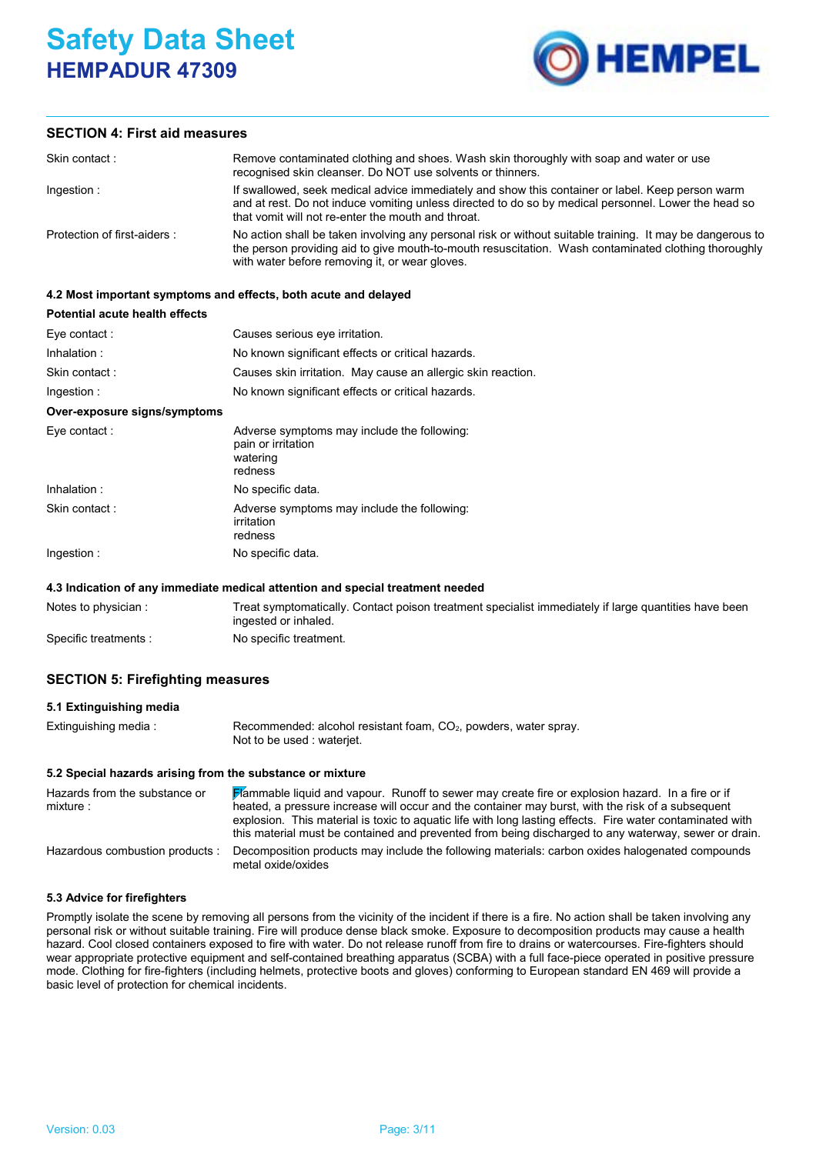# **Safety Data Sheet HEMPADUR 47309**



# **SECTION 4: First aid measures**

| Skin contact:               | Remove contaminated clothing and shoes. Wash skin thoroughly with soap and water or use<br>recognised skin cleanser. Do NOT use solvents or thinners.                                                                                                               |
|-----------------------------|---------------------------------------------------------------------------------------------------------------------------------------------------------------------------------------------------------------------------------------------------------------------|
| Ingestion:                  | If swallowed, seek medical advice immediately and show this container or label. Keep person warm<br>and at rest. Do not induce vomiting unless directed to do so by medical personnel. Lower the head so<br>that vomit will not re-enter the mouth and throat.      |
| Protection of first-aiders: | No action shall be taken involving any personal risk or without suitable training. It may be dangerous to<br>the person providing aid to give mouth-to-mouth resuscitation. Wash contaminated clothing thoroughly<br>with water before removing it, or wear gloves. |

# **4.2 Most important symptoms and effects, both acute and delayed**

| Potential acute health effects |                                                                                          |
|--------------------------------|------------------------------------------------------------------------------------------|
| Eye contact:                   | Causes serious eye irritation.                                                           |
| Inhalation:                    | No known significant effects or critical hazards.                                        |
| Skin contact:                  | Causes skin irritation. May cause an allergic skin reaction.                             |
| Ingestion:                     | No known significant effects or critical hazards.                                        |
| Over-exposure signs/symptoms   |                                                                                          |
| Eye contact:                   | Adverse symptoms may include the following:<br>pain or irritation<br>watering<br>redness |
| Inhalation:                    | No specific data.                                                                        |
| Skin contact:                  | Adverse symptoms may include the following:<br>irritation<br>redness                     |
| Ingestion :                    | No specific data.                                                                        |

#### **4.3 Indication of any immediate medical attention and special treatment needed**

| Notes to physician : | Treat symptomatically. Contact poison treatment specialist immediately if large quantities have been<br>ingested or inhaled. |
|----------------------|------------------------------------------------------------------------------------------------------------------------------|
| Specific treatments: | No specific treatment.                                                                                                       |

# **SECTION 5: Firefighting measures**

#### **5.1 Extinguishing media**

| Extinguishing media: | Recommended: alcohol resistant foam, $CO2$ , powders, water spray. |
|----------------------|--------------------------------------------------------------------|
|                      | Not to be used : waterjet.                                         |

# **5.2 Special hazards arising from the substance or mixture**

| Hazards from the substance or<br>mixture : | <b>Hammable liquid and vapour.</b> Runoff to sewer may create fire or explosion hazard. In a fire or if<br>heated, a pressure increase will occur and the container may burst, with the risk of a subsequent<br>explosion. This material is toxic to aquatic life with long lasting effects. Fire water contaminated with<br>this material must be contained and prevented from being discharged to any waterway, sewer or drain. |
|--------------------------------------------|-----------------------------------------------------------------------------------------------------------------------------------------------------------------------------------------------------------------------------------------------------------------------------------------------------------------------------------------------------------------------------------------------------------------------------------|
| Hazardous combustion products:             | Decomposition products may include the following materials: carbon oxides halogenated compounds<br>metal oxide/oxides                                                                                                                                                                                                                                                                                                             |

# **5.3 Advice for firefighters**

Promptly isolate the scene by removing all persons from the vicinity of the incident if there is a fire. No action shall be taken involving any personal risk or without suitable training. Fire will produce dense black smoke. Exposure to decomposition products may cause a health hazard. Cool closed containers exposed to fire with water. Do not release runoff from fire to drains or watercourses. Fire-fighters should wear appropriate protective equipment and self-contained breathing apparatus (SCBA) with a full face-piece operated in positive pressure mode. Clothing for fire-fighters (including helmets, protective boots and gloves) conforming to European standard EN 469 will provide a basic level of protection for chemical incidents.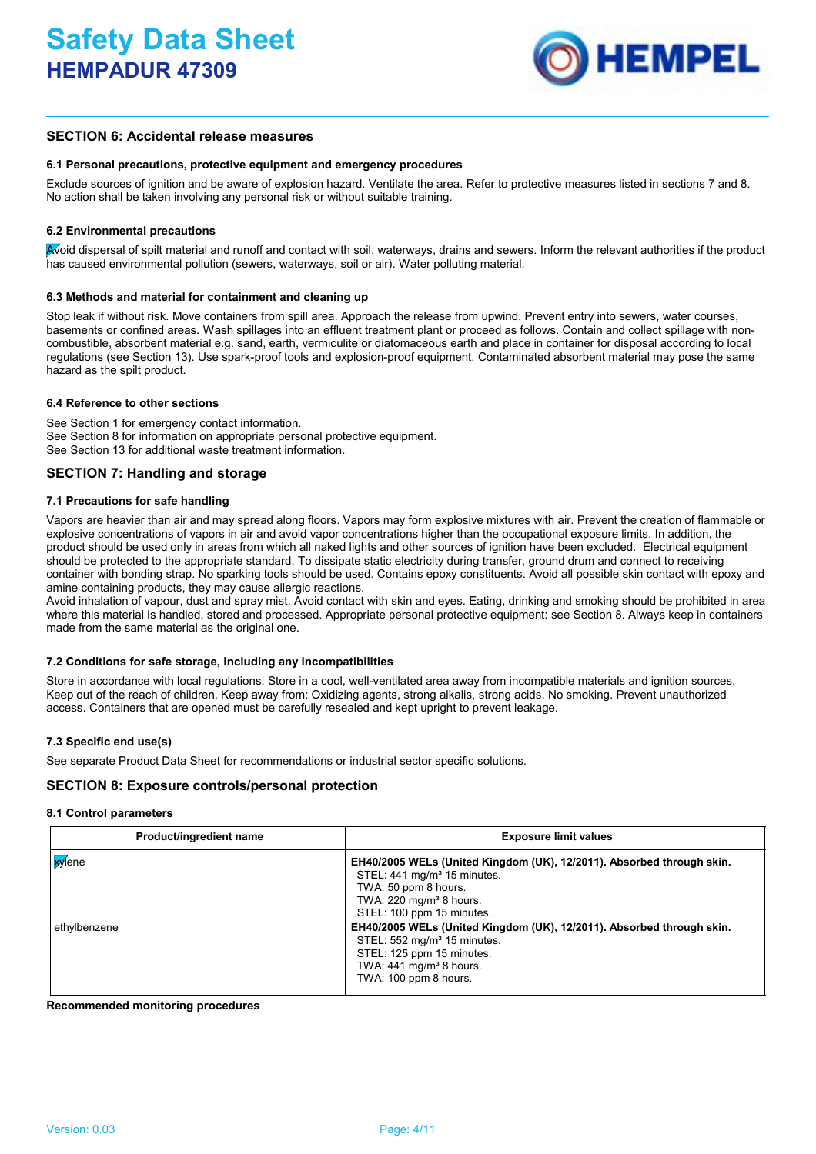

# **SECTION 6: Accidental release measures**

# **6.1 Personal precautions, protective equipment and emergency procedures**

Exclude sources of ignition and be aware of explosion hazard. Ventilate the area. Refer to protective measures listed in sections 7 and 8. No action shall be taken involving any personal risk or without suitable training.

# **6.2 Environmental precautions**

Avoid dispersal of spilt material and runoff and contact with soil, waterways, drains and sewers. Inform the relevant authorities if the product has caused environmental pollution (sewers, waterways, soil or air). Water polluting material.

#### **6.3 Methods and material for containment and cleaning up**

Stop leak if without risk. Move containers from spill area. Approach the release from upwind. Prevent entry into sewers, water courses, basements or confined areas. Wash spillages into an effluent treatment plant or proceed as follows. Contain and collect spillage with noncombustible, absorbent material e.g. sand, earth, vermiculite or diatomaceous earth and place in container for disposal according to local regulations (see Section 13). Use spark-proof tools and explosion-proof equipment. Contaminated absorbent material may pose the same hazard as the spilt product.

# **6.4 Reference to other sections**

See Section 1 for emergency contact information. See Section 8 for information on appropriate personal protective equipment. See Section 13 for additional waste treatment information.

# **SECTION 7: Handling and storage**

# **7.1 Precautions for safe handling**

Vapors are heavier than air and may spread along floors. Vapors may form explosive mixtures with air. Prevent the creation of flammable or explosive concentrations of vapors in air and avoid vapor concentrations higher than the occupational exposure limits. In addition, the product should be used only in areas from which all naked lights and other sources of ignition have been excluded. Electrical equipment should be protected to the appropriate standard. To dissipate static electricity during transfer, ground drum and connect to receiving container with bonding strap. No sparking tools should be used. Contains epoxy constituents. Avoid all possible skin contact with epoxy and amine containing products, they may cause allergic reactions.

Avoid inhalation of vapour, dust and spray mist. Avoid contact with skin and eyes. Eating, drinking and smoking should be prohibited in area where this material is handled, stored and processed. Appropriate personal protective equipment: see Section 8. Always keep in containers made from the same material as the original one.

#### **7.2 Conditions for safe storage, including any incompatibilities**

Store in accordance with local regulations. Store in a cool, well-ventilated area away from incompatible materials and ignition sources. Keep out of the reach of children. Keep away from: Oxidizing agents, strong alkalis, strong acids. No smoking. Prevent unauthorized access. Containers that are opened must be carefully resealed and kept upright to prevent leakage.

# **7.3 Specific end use(s)**

See separate Product Data Sheet for recommendations or industrial sector specific solutions.

# **SECTION 8: Exposure controls/personal protection**

#### **8.1 Control parameters**

| Product/ingredient name              | <b>Exposure limit values</b>                                                                                                                                                                                                                                                                                                                                                                                                 |
|--------------------------------------|------------------------------------------------------------------------------------------------------------------------------------------------------------------------------------------------------------------------------------------------------------------------------------------------------------------------------------------------------------------------------------------------------------------------------|
| <mark>xy</mark> lene<br>ethylbenzene | EH40/2005 WELs (United Kingdom (UK), 12/2011). Absorbed through skin.<br>STEL: 441 mg/m <sup>3</sup> 15 minutes.<br>TWA: 50 ppm 8 hours.<br>TWA: 220 mg/m <sup>3</sup> 8 hours.<br>STEL: 100 ppm 15 minutes.<br>EH40/2005 WELs (United Kingdom (UK), 12/2011). Absorbed through skin.<br>STEL: 552 mg/m <sup>3</sup> 15 minutes.<br>STEL: 125 ppm 15 minutes.<br>TWA: $441 \text{ mg/m}^3$ 8 hours.<br>TWA: 100 ppm 8 hours. |

**Recommended monitoring procedures**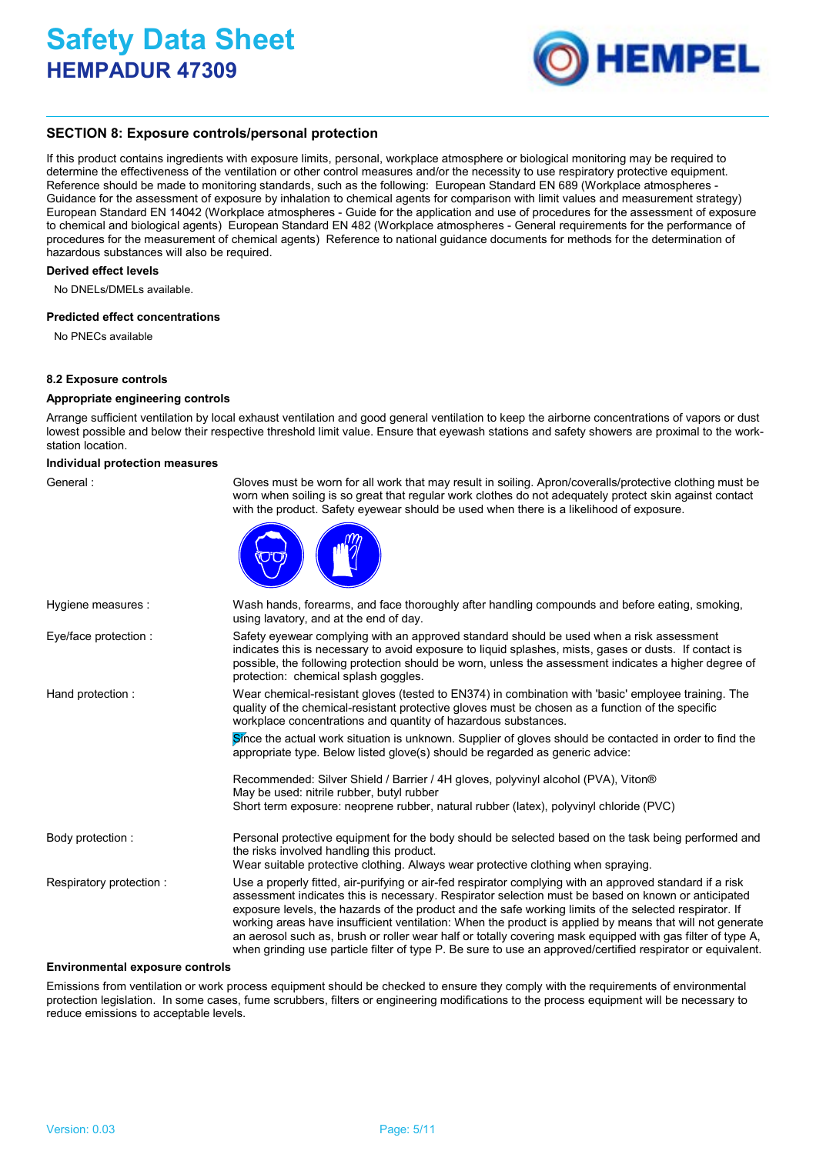

# **SECTION 8: Exposure controls/personal protection**

If this product contains ingredients with exposure limits, personal, workplace atmosphere or biological monitoring may be required to determine the effectiveness of the ventilation or other control measures and/or the necessity to use respiratory protective equipment. Reference should be made to monitoring standards, such as the following: European Standard EN 689 (Workplace atmospheres - Guidance for the assessment of exposure by inhalation to chemical agents for comparison with limit values and measurement strategy) European Standard EN 14042 (Workplace atmospheres - Guide for the application and use of procedures for the assessment of exposure to chemical and biological agents) European Standard EN 482 (Workplace atmospheres - General requirements for the performance of procedures for the measurement of chemical agents) Reference to national guidance documents for methods for the determination of hazardous substances will also be required.

#### **Derived effect levels**

No DNELs/DMELs available.

#### **Predicted effect concentrations**

No PNECs available

#### **8.2 Exposure controls**

#### **Appropriate engineering controls**

Arrange sufficient ventilation by local exhaust ventilation and good general ventilation to keep the airborne concentrations of vapors or dust lowest possible and below their respective threshold limit value. Ensure that eyewash stations and safety showers are proximal to the workstation location.

#### **Individual protection measures**

General : Gloves must be worn for all work that may result in soiling. Apron/coveralls/protective clothing must be worn when soiling is so great that regular work clothes do not adequately protect skin against contact with the product. Safety eyewear should be used when there is a likelihood of exposure.



| Hygiene measures :      | Wash hands, forearms, and face thoroughly after handling compounds and before eating, smoking,<br>using lavatory, and at the end of day.                                                                                                                                                                                                                                                                                                                                                                                                              |
|-------------------------|-------------------------------------------------------------------------------------------------------------------------------------------------------------------------------------------------------------------------------------------------------------------------------------------------------------------------------------------------------------------------------------------------------------------------------------------------------------------------------------------------------------------------------------------------------|
| Eye/face protection :   | Safety eyewear complying with an approved standard should be used when a risk assessment<br>indicates this is necessary to avoid exposure to liquid splashes, mists, gases or dusts. If contact is<br>possible, the following protection should be worn, unless the assessment indicates a higher degree of<br>protection: chemical splash goggles.                                                                                                                                                                                                   |
| Hand protection:        | Wear chemical-resistant gloves (tested to EN374) in combination with 'basic' employee training. The<br>quality of the chemical-resistant protective gloves must be chosen as a function of the specific<br>workplace concentrations and quantity of hazardous substances.                                                                                                                                                                                                                                                                             |
|                         | Since the actual work situation is unknown. Supplier of gloves should be contacted in order to find the<br>appropriate type. Below listed glove(s) should be regarded as generic advice:                                                                                                                                                                                                                                                                                                                                                              |
|                         | Recommended: Silver Shield / Barrier / 4H gloves, polyvinyl alcohol (PVA), Viton®<br>May be used: nitrile rubber, butyl rubber                                                                                                                                                                                                                                                                                                                                                                                                                        |
|                         | Short term exposure: neoprene rubber, natural rubber (latex), polyvinyl chloride (PVC)                                                                                                                                                                                                                                                                                                                                                                                                                                                                |
| Body protection:        | Personal protective equipment for the body should be selected based on the task being performed and<br>the risks involved handling this product.<br>Wear suitable protective clothing. Always wear protective clothing when spraying.                                                                                                                                                                                                                                                                                                                 |
| Respiratory protection: | Use a properly fitted, air-purifying or air-fed respirator complying with an approved standard if a risk                                                                                                                                                                                                                                                                                                                                                                                                                                              |
|                         | assessment indicates this is necessary. Respirator selection must be based on known or anticipated<br>exposure levels, the hazards of the product and the safe working limits of the selected respirator. If<br>working areas have insufficient ventilation: When the product is applied by means that will not generate<br>an aerosol such as, brush or roller wear half or totally covering mask equipped with gas filter of type A,<br>when grinding use particle filter of type P. Be sure to use an approved/certified respirator or equivalent. |

#### **Environmental exposure controls**

Emissions from ventilation or work process equipment should be checked to ensure they comply with the requirements of environmental protection legislation. In some cases, fume scrubbers, filters or engineering modifications to the process equipment will be necessary to reduce emissions to acceptable levels.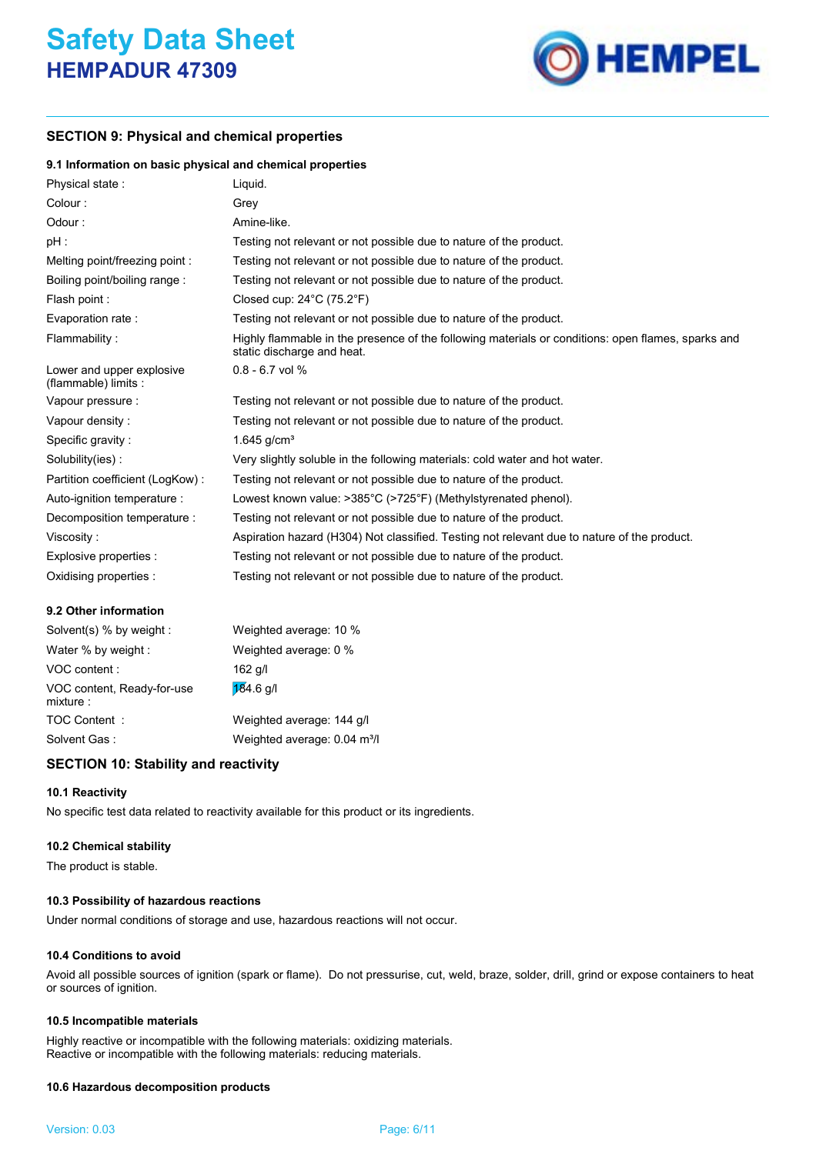

# **SECTION 9: Physical and chemical properties**

# **9.1 Information on basic physical and chemical properties**

| Physical state:                                   | Liquid.                                                                                                                          |
|---------------------------------------------------|----------------------------------------------------------------------------------------------------------------------------------|
| Colour:                                           | Grey                                                                                                                             |
| Odour:                                            | Amine-like.                                                                                                                      |
| pH :                                              | Testing not relevant or not possible due to nature of the product.                                                               |
| Melting point/freezing point:                     | Testing not relevant or not possible due to nature of the product.                                                               |
| Boiling point/boiling range:                      | Testing not relevant or not possible due to nature of the product.                                                               |
| Flash point:                                      | Closed cup: $24^{\circ}$ C (75.2 $^{\circ}$ F)                                                                                   |
| Evaporation rate:                                 | Testing not relevant or not possible due to nature of the product.                                                               |
| Flammability:                                     | Highly flammable in the presence of the following materials or conditions: open flames, sparks and<br>static discharge and heat. |
| Lower and upper explosive<br>(flammable) limits : | $0.8 - 6.7$ vol %                                                                                                                |
| Vapour pressure :                                 | Testing not relevant or not possible due to nature of the product.                                                               |
| Vapour density:                                   | Testing not relevant or not possible due to nature of the product.                                                               |
| Specific gravity:                                 | 1.645 $q/cm3$                                                                                                                    |
| Solubility(ies):                                  | Very slightly soluble in the following materials: cold water and hot water.                                                      |
| Partition coefficient (LogKow):                   | Testing not relevant or not possible due to nature of the product.                                                               |
| Auto-ignition temperature :                       | Lowest known value: $>385^{\circ}$ C ( $>725^{\circ}$ F) (Methylstyrenated phenol).                                              |
| Decomposition temperature :                       | Testing not relevant or not possible due to nature of the product.                                                               |
| Viscosity:                                        | Aspiration hazard (H304) Not classified. Testing not relevant due to nature of the product.                                      |
| Explosive properties :                            | Testing not relevant or not possible due to nature of the product.                                                               |
| Oxidising properties :                            | Testing not relevant or not possible due to nature of the product.                                                               |

# **9.2 Other information**

| Solvent(s) % by weight :               | Weighted average: 10 %                   |
|----------------------------------------|------------------------------------------|
| Water % by weight :                    | Weighted average: 0 %                    |
| VOC content:                           | $162$ g/l                                |
| VOC content, Ready-for-use<br>mixture: | $184.6$ g/l                              |
| TOC Content:                           | Weighted average: 144 g/l                |
| Solvent Gas:                           | Weighted average: 0.04 m <sup>3</sup> /l |
|                                        |                                          |

# **SECTION 10: Stability and reactivity**

# **10.1 Reactivity**

No specific test data related to reactivity available for this product or its ingredients.

# **10.2 Chemical stability**

The product is stable.

# **10.3 Possibility of hazardous reactions**

Under normal conditions of storage and use, hazardous reactions will not occur.

# **10.4 Conditions to avoid**

Avoid all possible sources of ignition (spark or flame). Do not pressurise, cut, weld, braze, solder, drill, grind or expose containers to heat or sources of ignition.

# **10.5 Incompatible materials**

Highly reactive or incompatible with the following materials: oxidizing materials. Reactive or incompatible with the following materials: reducing materials.

# **10.6 Hazardous decomposition products**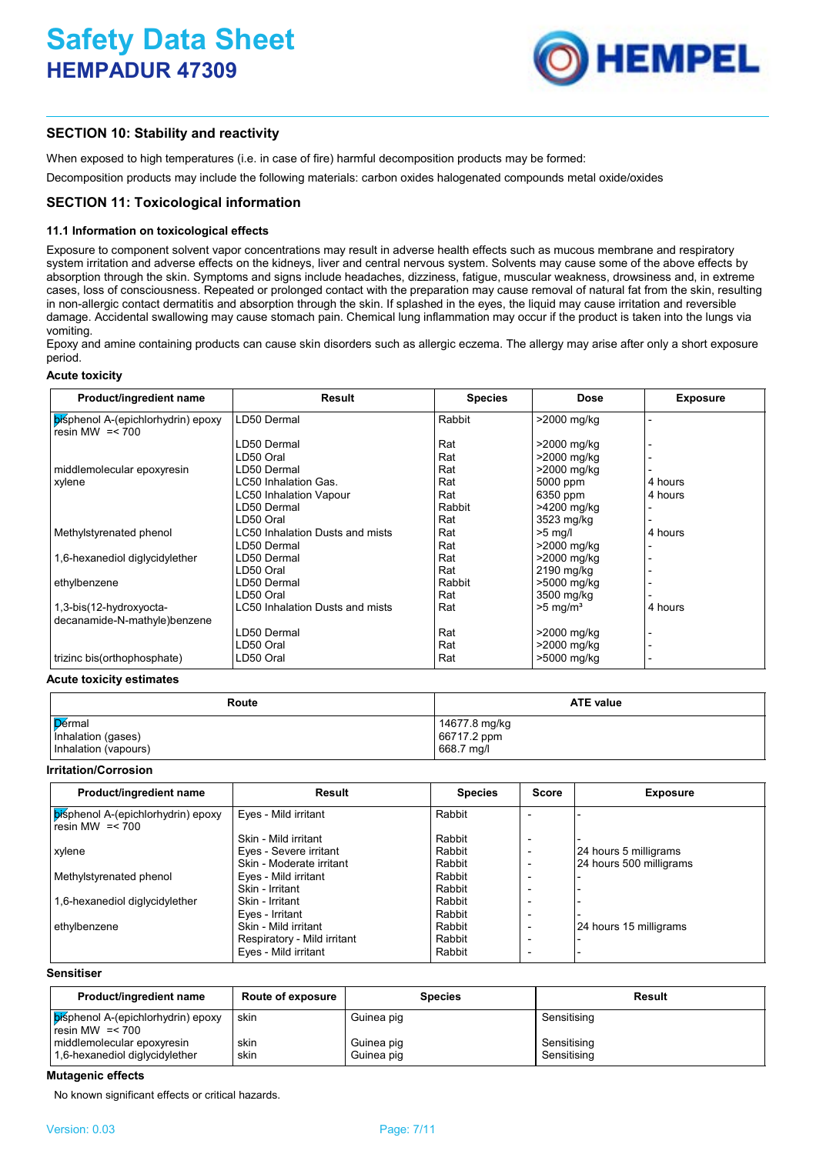

# **SECTION 10: Stability and reactivity**

When exposed to high temperatures (i.e. in case of fire) harmful decomposition products may be formed:

Decomposition products may include the following materials: carbon oxides halogenated compounds metal oxide/oxides

# **SECTION 11: Toxicological information**

# **11.1 Information on toxicological effects**

Exposure to component solvent vapor concentrations may result in adverse health effects such as mucous membrane and respiratory system irritation and adverse effects on the kidneys, liver and central nervous system. Solvents may cause some of the above effects by absorption through the skin. Symptoms and signs include headaches, dizziness, fatigue, muscular weakness, drowsiness and, in extreme cases, loss of consciousness. Repeated or prolonged contact with the preparation may cause removal of natural fat from the skin, resulting in non-allergic contact dermatitis and absorption through the skin. If splashed in the eyes, the liquid may cause irritation and reversible damage. Accidental swallowing may cause stomach pain. Chemical lung inflammation may occur if the product is taken into the lungs via vomiting.

Epoxy and amine containing products can cause skin disorders such as allergic eczema. The allergy may arise after only a short exposure period.

# **Acute toxicity**

| Product/ingredient name                                 | Result                                 | <b>Species</b> | <b>Dose</b>            | <b>Exposure</b> |
|---------------------------------------------------------|----------------------------------------|----------------|------------------------|-----------------|
| bisphenol A-(epichlorhydrin) epoxy<br>resin MW $=< 700$ | LD50 Dermal                            | Rabbit         | >2000 mg/kg            |                 |
|                                                         | LD50 Dermal                            | Rat            | >2000 mg/kg            |                 |
|                                                         | LD50 Oral                              | Rat            | >2000 mg/kg            |                 |
| middlemolecular epoxyresin                              | LD50 Dermal                            | Rat            | >2000 mg/kg            |                 |
| xylene                                                  | LC50 Inhalation Gas.                   | Rat            | 5000 ppm               | 4 hours         |
|                                                         | <b>LC50 Inhalation Vapour</b>          | Rat            | 6350 ppm               | 4 hours         |
|                                                         | LD50 Dermal                            | Rabbit         | >4200 mg/kg            |                 |
|                                                         | LD50 Oral                              | Rat            | 3523 mg/kg             |                 |
| Methylstyrenated phenol                                 | <b>LC50 Inhalation Dusts and mists</b> | Rat            | $>5$ mg/l              | 4 hours         |
|                                                         | LD50 Dermal                            | Rat            | >2000 mg/kg            |                 |
| 1,6-hexanediol diglycidylether                          | LD50 Dermal                            | Rat            | >2000 mg/kg            |                 |
|                                                         | LD50 Oral                              | Rat            | 2190 mg/kg             |                 |
| ethylbenzene                                            | LD50 Dermal                            | Rabbit         | >5000 mg/kg            |                 |
|                                                         | LD50 Oral                              | Rat            | 3500 mg/kg             |                 |
| 1,3-bis(12-hydroxyocta-                                 | LC50 Inhalation Dusts and mists        | Rat            | $>5$ mg/m <sup>3</sup> | 4 hours         |
| decanamide-N-mathyle)benzene                            |                                        |                |                        |                 |
|                                                         | LD50 Dermal                            | Rat            | >2000 mg/kg            |                 |
|                                                         | LD50 Oral                              | Rat            | >2000 mg/kg            |                 |
| trizinc bis(orthophosphate)                             | LD50 Oral                              | Rat            | >5000 mg/kg            |                 |

#### **Acute toxicity estimates**

| Route                | <b>ATE value</b> |  |
|----------------------|------------------|--|
| Dermal               | 14677.8 mg/kg    |  |
| Inhalation (gases)   | 66717.2 ppm      |  |
| Inhalation (vapours) | 668.7 mg/l       |  |

#### **Irritation/Corrosion**

| Product/ingredient name                                        | Result                      | <b>Species</b> | <b>Score</b>             | <b>Exposure</b>         |
|----------------------------------------------------------------|-----------------------------|----------------|--------------------------|-------------------------|
| <b>bisphenol A-(epichlorhydrin) epoxy</b><br>resin MW $=< 700$ | Eyes - Mild irritant        | Rabbit         |                          |                         |
|                                                                | Skin - Mild irritant        | Rabbit         |                          |                         |
| xylene                                                         | Eyes - Severe irritant      | Rabbit         | $\overline{\phantom{0}}$ | 24 hours 5 milligrams   |
|                                                                | Skin - Moderate irritant    | Rabbit         |                          | 24 hours 500 milligrams |
| Methylstyrenated phenol                                        | Eyes - Mild irritant        | Rabbit         |                          |                         |
|                                                                | Skin - Irritant             | Rabbit         |                          |                         |
| 1,6-hexanediol diglycidylether                                 | Skin - Irritant             | Rabbit         |                          |                         |
|                                                                | Eyes - Irritant             | Rabbit         | $\overline{\phantom{a}}$ |                         |
| ethylbenzene                                                   | Skin - Mild irritant        | Rabbit         |                          | 24 hours 15 milligrams  |
|                                                                | Respiratory - Mild irritant | Rabbit         |                          |                         |
|                                                                | Eyes - Mild irritant        | Rabbit         | $\overline{\phantom{0}}$ |                         |

# **Sensitiser**

| Product/ingredient name                                      | <b>Route of exposure</b> | <b>Species</b>           | Result                     |
|--------------------------------------------------------------|--------------------------|--------------------------|----------------------------|
| bisphenol A-(epichlorhydrin) epoxy<br>resin MW $=< 700$      | skin                     | Guinea pig               | Sensitising                |
| middlemolecular epoxyresin<br>1,6-hexanediol diglycidylether | skin<br>skin             | Guinea pig<br>Guinea pig | Sensitising<br>Sensitising |

#### **Mutagenic effects**

No known significant effects or critical hazards.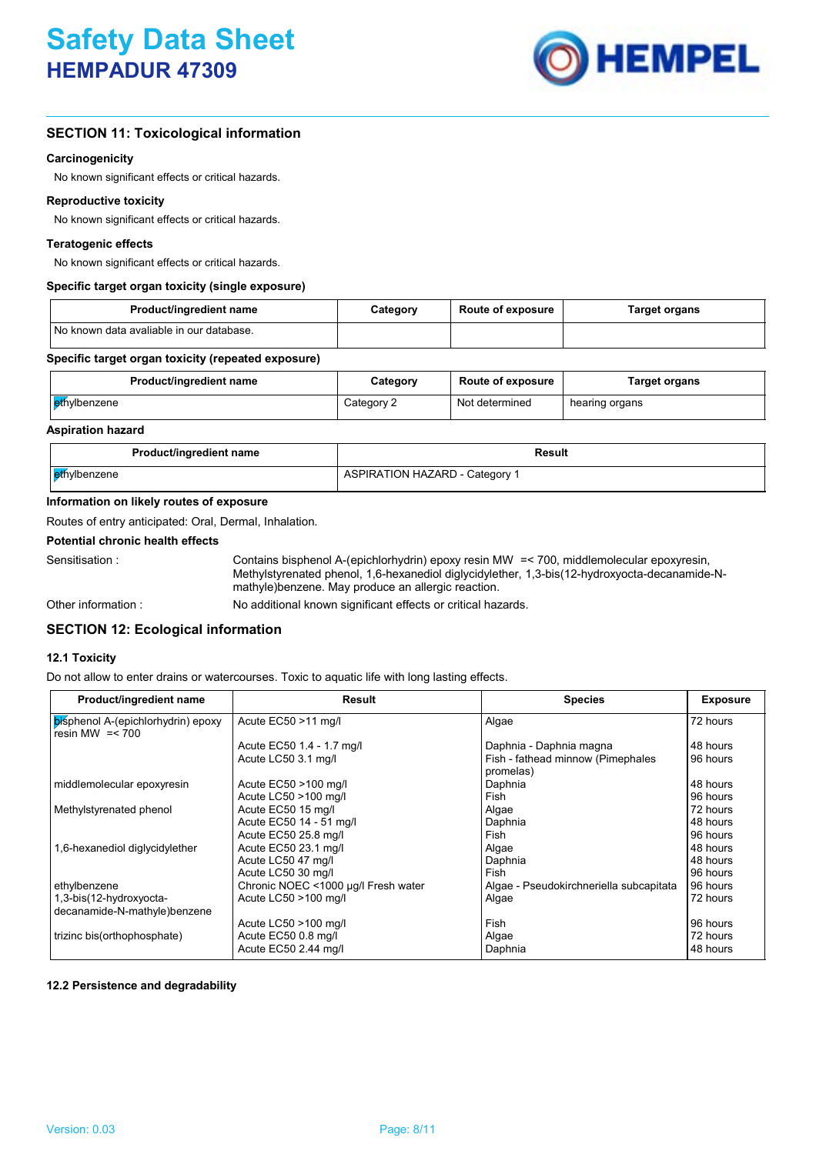

# **SECTION 11: Toxicological information**

# **Carcinogenicity**

No known significant effects or critical hazards.

# **Reproductive toxicity**

No known significant effects or critical hazards.

# **Teratogenic effects**

No known significant effects or critical hazards.

# **Specific target organ toxicity (single exposure)**

| Product/ingredient name                    | Category | <b>Route of exposure</b> | Target organs |
|--------------------------------------------|----------|--------------------------|---------------|
| I No known data avaliable in our database. |          |                          |               |

# **Specific target organ toxicity (repeated exposure)**

| Product/ingredient name | Category   | <b>Route of exposure</b> | Target organs  |
|-------------------------|------------|--------------------------|----------------|
| ethylbenzene            | Category 2 | Not determined           | hearing organs |

# **Aspiration hazard**

| Product/ingredient name | Result                         |
|-------------------------|--------------------------------|
| ethylbenzene            | ASPIRATION HAZARD - Category 1 |

# **Information on likely routes of exposure**

Routes of entry anticipated: Oral, Dermal, Inhalation.

## **Potential chronic health effects**

Sensitisation : Contains bisphenol A-(epichlorhydrin) epoxy resin MW = < 700, middlemolecular epoxyresin, Methylstyrenated phenol, 1,6-hexanediol diglycidylether, 1,3-bis(12-hydroxyocta-decanamide-Nmathyle)benzene. May produce an allergic reaction.

Other information :

No additional known significant effects or critical hazards.

# **SECTION 12: Ecological information**

#### **12.1 Toxicity**

Do not allow to enter drains or watercourses. Toxic to aquatic life with long lasting effects.

| Product/ingredient name                                 | Result                              | <b>Species</b>                                 | <b>Exposure</b> |
|---------------------------------------------------------|-------------------------------------|------------------------------------------------|-----------------|
| bisphenol A-(epichlorhydrin) epoxy<br>resin MW $=< 700$ | Acute EC50 >11 mg/l                 | Algae                                          | 72 hours        |
|                                                         | Acute EC50 1.4 - 1.7 mg/l           | Daphnia - Daphnia magna                        | 48 hours        |
|                                                         | Acute LC50 3.1 mg/l                 | Fish - fathead minnow (Pimephales<br>promelas) | 96 hours        |
| middlemolecular epoxyresin                              | Acute EC50 >100 mg/l                | Daphnia                                        | 48 hours        |
|                                                         | Acute LC50 >100 mg/l                | Fish                                           | 96 hours        |
| Methylstyrenated phenol                                 | Acute EC50 15 mg/l                  | Algae                                          | 72 hours        |
|                                                         | Acute EC50 14 - 51 mg/l             | Daphnia                                        | 48 hours        |
|                                                         | Acute EC50 25.8 mg/l                | Fish                                           | 96 hours        |
| 1,6-hexanediol diglycidylether                          | Acute EC50 23.1 mg/l                | Algae                                          | 48 hours        |
|                                                         | Acute LC50 47 mg/l                  | Daphnia                                        | 48 hours        |
|                                                         | Acute LC50 30 mg/l                  | Fish                                           | 96 hours        |
| ethylbenzene                                            | Chronic NOEC <1000 µg/l Fresh water | Algae - Pseudokirchneriella subcapitata        | 96 hours        |
| 1,3-bis(12-hydroxyocta-                                 | Acute LC50 >100 mg/l                | Algae                                          | 72 hours        |
| decanamide-N-mathyle)benzene                            |                                     |                                                |                 |
|                                                         | Acute LC50 >100 mg/l                | Fish                                           | 96 hours        |
| trizinc bis(orthophosphate)                             | Acute EC50 0.8 mg/l                 | Algae                                          | 72 hours        |
|                                                         | Acute EC50 2.44 mg/l                | Daphnia                                        | 48 hours        |

## **12.2 Persistence and degradability**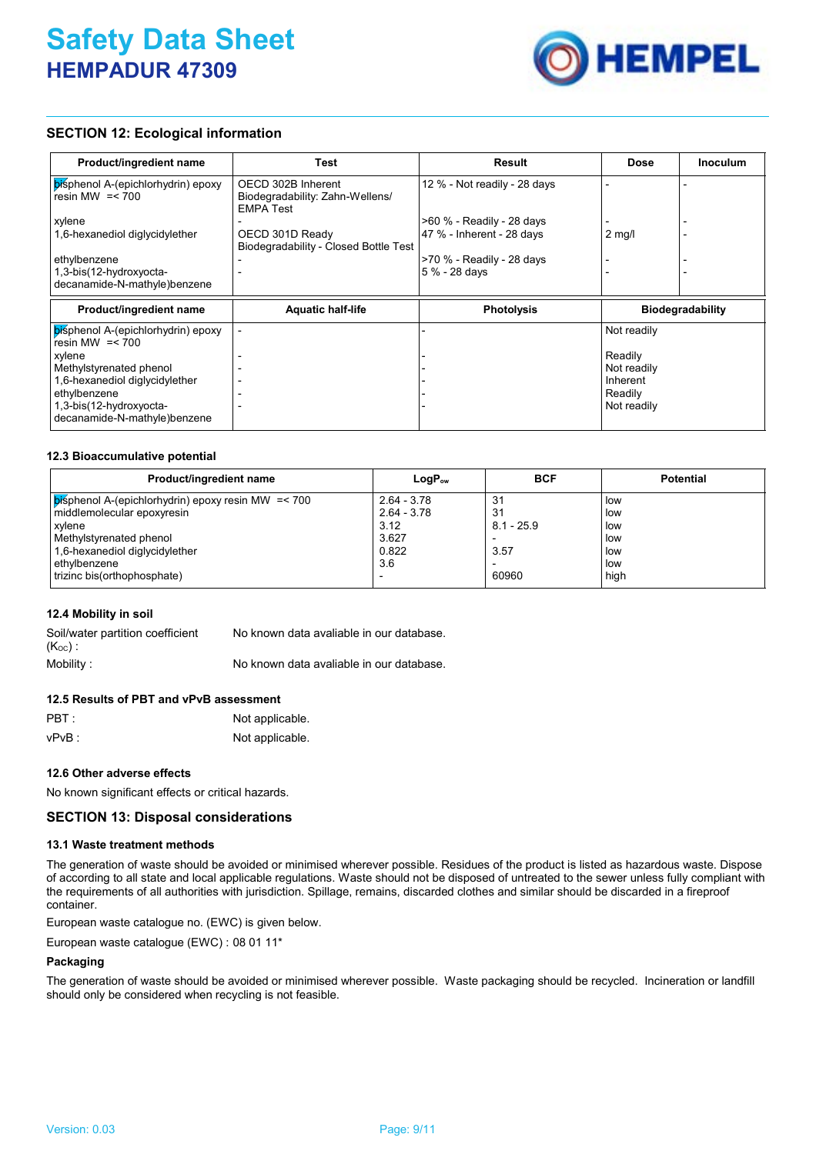

# **SECTION 12: Ecological information**

| Product/ingredient name                                 | Test                                                                      | <b>Result</b>                | Dose                    | <b>Inoculum</b> |
|---------------------------------------------------------|---------------------------------------------------------------------------|------------------------------|-------------------------|-----------------|
| bisphenol A-(epichlorhydrin) epoxy<br>resin MW $=< 700$ | OECD 302B Inherent<br>Biodegradability: Zahn-Wellens/<br><b>EMPA Test</b> | 12 % - Not readily - 28 days |                         |                 |
| xylene                                                  |                                                                           | >60 % - Readily - 28 days    |                         |                 |
| 1,6-hexanediol diglycidylether                          | OECD 301D Ready<br>Biodegradability - Closed Bottle Test                  | 47 % - Inherent - 28 days    | $2 \text{ mg/l}$        |                 |
| ethylbenzene                                            |                                                                           | >70 % - Readily - 28 days    |                         |                 |
| 1,3-bis(12-hydroxyocta-                                 |                                                                           | 5 % - 28 days                |                         |                 |
| decanamide-N-mathyle)benzene                            |                                                                           |                              |                         |                 |
| Product/ingredient name                                 | <b>Aquatic half-life</b>                                                  | <b>Photolysis</b>            | <b>Biodegradability</b> |                 |
| bisphenol A-(epichlorhydrin) epoxy<br>resin MW $=< 700$ |                                                                           |                              | Not readily             |                 |
| xylene                                                  |                                                                           |                              | Readily                 |                 |
| Methylstyrenated phenol                                 |                                                                           |                              | Not readily             |                 |
| 1,6-hexanediol diglycidylether                          |                                                                           |                              | Inherent                |                 |
| ethylbenzene                                            |                                                                           |                              | Readily                 |                 |
| 1,3-bis(12-hydroxyocta-                                 |                                                                           |                              | Not readily             |                 |
| decanamide-N-mathyle)benzene                            |                                                                           |                              |                         |                 |

# **12.3 Bioaccumulative potential**

| Product/ingredient name                                     | $LogP_{ow}$   | <b>BCF</b>   | <b>Potential</b> |
|-------------------------------------------------------------|---------------|--------------|------------------|
| $\vert$ pisphenol A-(epichlorhydrin) epoxy resin MW = < 700 | $2.64 - 3.78$ | 31           | <b>low</b>       |
| middlemolecular epoxyresin                                  | $2.64 - 3.78$ | -31          | low              |
| xylene                                                      | 3.12          | $8.1 - 25.9$ | low              |
| Methylstyrenated phenol                                     | 3.627         |              | low              |
| 1,6-hexanediol diglycidylether                              | 0.822         | 3.57         | low              |
| ethylbenzene                                                | 3.6           |              | low              |
| trizinc bis(orthophosphate)                                 |               | 60960        | high             |

# **12.4 Mobility in soil**

| Soil/water partition coefficient | No known data avaliable in our database. |
|----------------------------------|------------------------------------------|
| $(K_{OC})$ .                     |                                          |
| Mobility :                       | No known data avaliable in our database. |

# **12.5 Results of PBT and vPvB assessment**

| $\mathsf{PBT}$ : | Not applicable. |
|------------------|-----------------|
| vPvB :           | Not applicable. |

# **12.6 Other adverse effects**

No known significant effects or critical hazards.

# **SECTION 13: Disposal considerations**

#### **13.1 Waste treatment methods**

The generation of waste should be avoided or minimised wherever possible. Residues of the product is listed as hazardous waste. Dispose of according to all state and local applicable regulations. Waste should not be disposed of untreated to the sewer unless fully compliant with the requirements of all authorities with jurisdiction. Spillage, remains, discarded clothes and similar should be discarded in a fireproof container.

European waste catalogue no. (EWC) is given below.

European waste catalogue (EWC) : 08 01 11\*

# **Packaging**

The generation of waste should be avoided or minimised wherever possible. Waste packaging should be recycled. Incineration or landfill should only be considered when recycling is not feasible.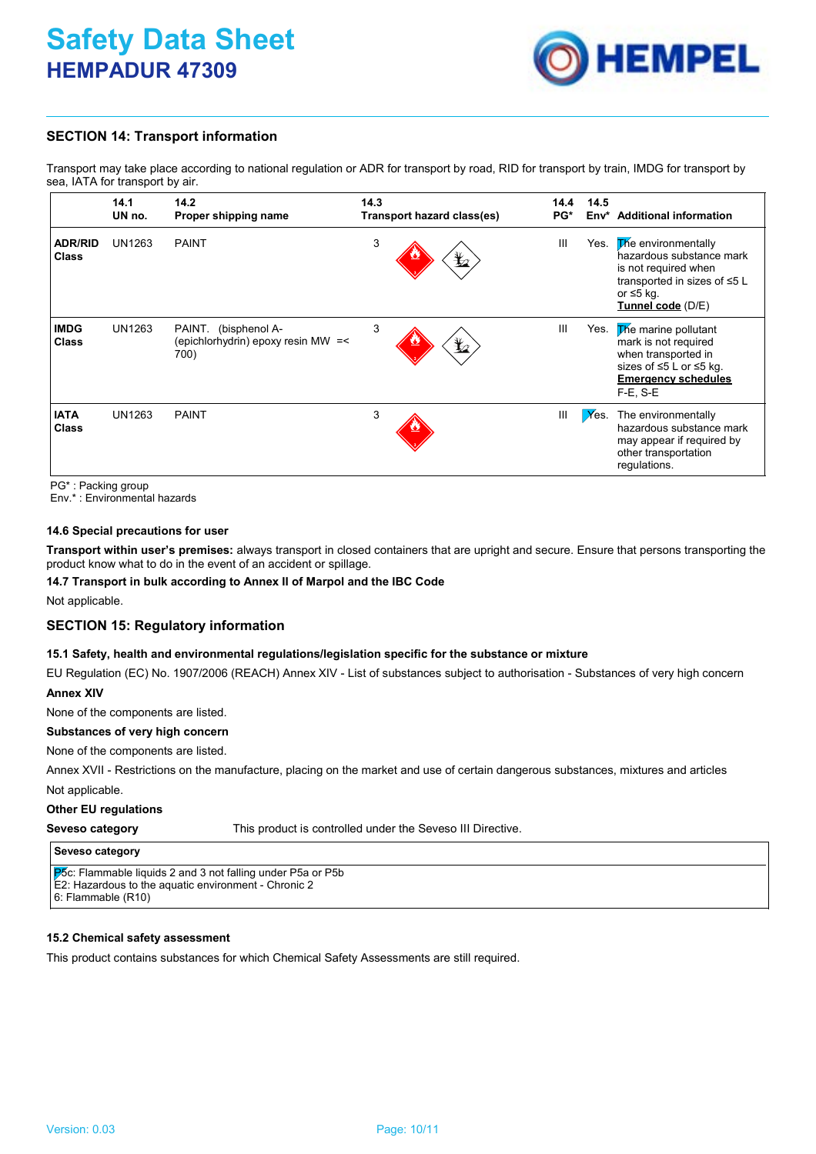

# **SECTION 14: Transport information**

Transport may take place according to national regulation or ADR for transport by road, RID for transport by train, IMDG for transport by sea, IATA for transport by air.

|                                | 14.1<br>UN no. | 14.2<br>Proper shipping name                                          | 14.3<br>Transport hazard class(es) | 14.4<br>PG*     | 14.5<br>Env* | <b>Additional information</b>                                                                                                                          |
|--------------------------------|----------------|-----------------------------------------------------------------------|------------------------------------|-----------------|--------------|--------------------------------------------------------------------------------------------------------------------------------------------------------|
| <b>ADR/RID</b><br><b>Class</b> | UN1263         | <b>PAINT</b>                                                          | 3                                  | Ш<br>$\bigstar$ | Yes.         | <b>The environmentally</b><br>hazardous substance mark<br>is not required when<br>transported in sizes of ≤5 L<br>or $\leq$ 5 kg.<br>Tunnel code (D/E) |
| <b>IMDG</b><br><b>Class</b>    | UN1263         | PAINT.<br>(bisphenol A-<br>(epichlorhydrin) epoxy resin MW =<<br>700) | 3                                  | Ш<br>$\bigstar$ | Yes.         | <b>The marine pollutant</b><br>mark is not required<br>when transported in<br>sizes of ≤5 L or ≤5 kg.<br><b>Emergency schedules</b><br>$F-E$ , $S-E$   |
| <b>IATA</b><br><b>Class</b>    | UN1263         | <b>PAINT</b>                                                          | 3                                  | Ш               | $X$ es.      | The environmentally<br>hazardous substance mark<br>may appear if required by<br>other transportation<br>regulations.                                   |

PG\* : Packing group

Env.\* : Environmental hazards

# **14.6 Special precautions for user**

**Transport within user's premises:** always transport in closed containers that are upright and secure. Ensure that persons transporting the product know what to do in the event of an accident or spillage.

# **14.7 Transport in bulk according to Annex II of Marpol and the IBC Code**

Not applicable.

# **SECTION 15: Regulatory information**

## **15.1 Safety, health and environmental regulations/legislation specific for the substance or mixture**

EU Regulation (EC) No. 1907/2006 (REACH) Annex XIV - List of substances subject to authorisation - Substances of very high concern **Annex XIV**

None of the components are listed.

# **Substances of very high concern**

None of the components are listed.

Annex XVII - Restrictions on the manufacture, placing on the market and use of certain dangerous substances, mixtures and articles

Not applicable.

#### **Other EU regulations**

#### **Seveso category**

This product is controlled under the Seveso III Directive.

# **Seveso category**

P5c: Flammable liquids 2 and 3 not falling under P5a or P5b E2: Hazardous to the aquatic environment - Chronic 2 6: Flammable (R10)

# **15.2 Chemical safety assessment**

This product contains substances for which Chemical Safety Assessments are still required.